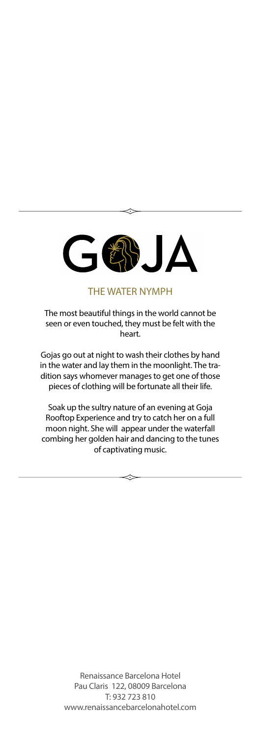

THE WATER NYMPH

The most beautiful things in the world cannot be seen or even touched, they must be felt with the heart.

Gojas go out at night to wash their clothes by hand in the water and lay them in the moonlight. The tradition says whomever manages to get one of those pieces of clothing will be fortunate all their life.

Soak up the sultry nature of an evening at Goja Rooftop Experience and try to catch her on a full moon night. She will appear under the waterfall combing her golden hair and dancing to the tunes of captivating music.

> Renaissance Barcelona Hotel Pau Claris 122, 08009 Barcelona T: 932 723 810 [www.renaissancebarcelonahotel.com](http://www.renaissancebarcelonahotel.com)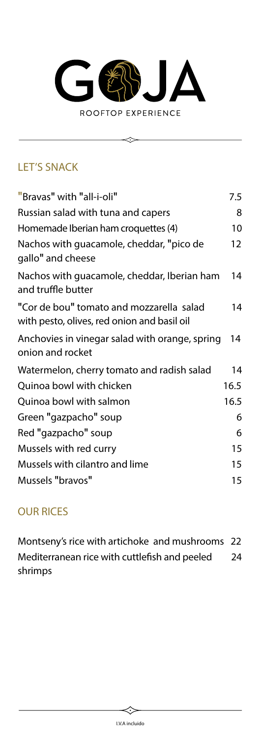

 $\iff$ 

# LET'S SNACK

| "Bravas" with "all-i-oli"                                                               | 7.5  |
|-----------------------------------------------------------------------------------------|------|
| Russian salad with tuna and capers                                                      | 8    |
| Homemade Iberian ham croquettes (4)                                                     | 10   |
| Nachos with guacamole, cheddar, "pico de<br>gallo" and cheese                           | 12   |
| Nachos with guacamole, cheddar, Iberian ham<br>and truffle butter                       | 14   |
| "Cor de bou" tomato and mozzarella salad<br>with pesto, olives, red onion and basil oil | 14   |
| Anchovies in vinegar salad with orange, spring<br>onion and rocket                      | 14   |
| Watermelon, cherry tomato and radish salad                                              | 14   |
| Quinoa bowl with chicken                                                                | 16.5 |
| Quinoa bowl with salmon                                                                 | 16.5 |
| Green "gazpacho" soup                                                                   | 6    |
| Red "gazpacho" soup                                                                     | 6    |
| Mussels with red curry                                                                  | 15   |
| Mussels with cilantro and lime                                                          | 15   |
| Mussels "bravos"                                                                        | 15   |
|                                                                                         |      |

## OUR RICES

Montseny's rice with artichoke and mushrooms 22 Mediterranean rice with cuttlefish and peeled shrimps 24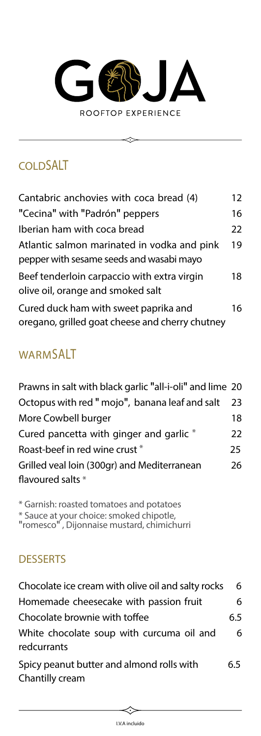

 $\hat{\mathbb{C}}$ 

# **COLDSALT**

| Cantabric anchovies with coca bread (4)                                                  | 12 |
|------------------------------------------------------------------------------------------|----|
| "Cecina" with "Padrón" peppers                                                           | 16 |
| Iberian ham with coca bread                                                              | 22 |
| Atlantic salmon marinated in vodka and pink<br>pepper with sesame seeds and wasabi mayo  | 19 |
| Beef tenderloin carpaccio with extra virgin<br>olive oil, orange and smoked salt         | 18 |
| Cured duck ham with sweet paprika and<br>oregano, grilled goat cheese and cherry chutney | 16 |

# WARMSALT

<span id="page-2-1"></span>

| Prawns in salt with black garlic "all-i-oli" and lime 20 |     |
|----------------------------------------------------------|-----|
| Octopus with red " mojo", banana leaf and salt           | 23  |
| More Cowbell burger                                      | 18  |
| Cured pancetta with ginger and garlic *                  | 22  |
| Roast-beef in red wine crust *                           | 25. |
| Grilled veal loin (300gr) and Mediterranean              | 26  |
| flavoured salts *                                        |     |

<span id="page-2-2"></span><span id="page-2-0"></span>[\\*](#page-2-1) Garnish: roasted tomatoes and potatoes [\\*](#page-2-2) Sauce at your choice: smoked chipotle, "romesco" , Dijonnaise mustard, chimichurri

## **DESSERTS**

| Chocolate ice cream with olive oil and salty rocks           | 6   |
|--------------------------------------------------------------|-----|
| Homemade cheesecake with passion fruit                       | 6   |
| Chocolate brownie with toffee                                | 6.5 |
| White chocolate soup with curcuma oil and<br>redcurrants     | 6   |
| Spicy peanut butter and almond rolls with<br>Chantilly cream | 6.5 |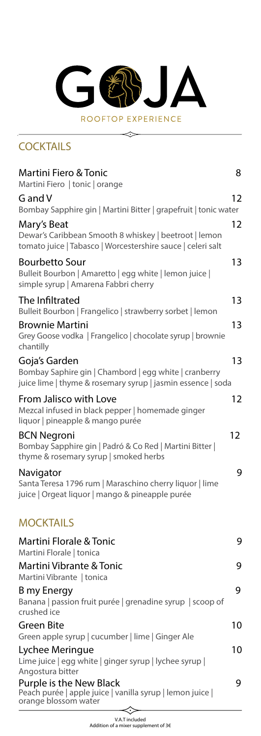### G  $\boldsymbol{\Delta}$ ring ROOFTOP EXPERIENCE

 $\Longrightarrow$ 

### **COCKTAILS**

| <b>Martini Fiero &amp; Tonic</b><br>Martini Fiero   tonic   orange                                                                    | 8                 |
|---------------------------------------------------------------------------------------------------------------------------------------|-------------------|
| G and V<br>Bombay Sapphire gin   Martini Bitter   grapefruit   tonic water                                                            | 12                |
| Mary's Beat<br>Dewar's Caribbean Smooth 8 whiskey   beetroot   lemon<br>tomato juice   Tabasco   Worcestershire sauce   celeri salt   | $12 \overline{ }$ |
| <b>Bourbetto Sour</b><br>Bulleit Bourbon   Amaretto   egg white   lemon juice  <br>simple syrup   Amarena Fabbri cherry               | 13                |
| The Infiltrated<br>Bulleit Bourbon   Frangelico   strawberry sorbet   lemon                                                           | 13                |
| <b>Brownie Martini</b><br>Grey Goose vodka   Frangelico   chocolate syrup   brownie<br>chantilly                                      | 13                |
| Goja's Garden<br>Bombay Saphire gin   Chambord   egg white   cranberry<br>juice lime   thyme & rosemary syrup   jasmin essence   soda | 13                |
| From Jalisco with Love<br>Mezcal infused in black pepper   homemade ginger<br>liquor   pineapple & mango purée                        | 12                |
| <b>BCN Negroni</b><br>Bombay Sapphire gin   Padró & Co Red   Martini Bitter  <br>thyme & rosemary syrup   smoked herbs                | 12                |
| Navigator<br>Santa Teresa 1796 rum   Maraschino cherry liquor   lime<br>juice   Orgeat liquor   mango & pineapple purée               | 9                 |
| <b>MOCKTAILS</b>                                                                                                                      |                   |
| <b>Martini Florale &amp; Tonic</b><br>Martini Florale   tonica                                                                        | 9                 |
| Martini Vibrante & Tonic<br>Martini Vibrante   tonica                                                                                 | 9                 |
| B my Energy<br>Banana   passion fruit purée   grenadine syrup   scoop of<br>crushed ice                                               | 9                 |
| <b>Green Bite</b><br>Green apple syrup   cucumber   lime   Ginger Ale                                                                 | 10                |
| Lychee Meringue<br>Lime juice   egg white   ginger syrup   lychee syrup  <br>Angostura bitter                                         | 10                |
| Purple is the New Black<br>Peach purée   apple juice   vanilla syrup   lemon juice  <br>orange blossom water                          | 9                 |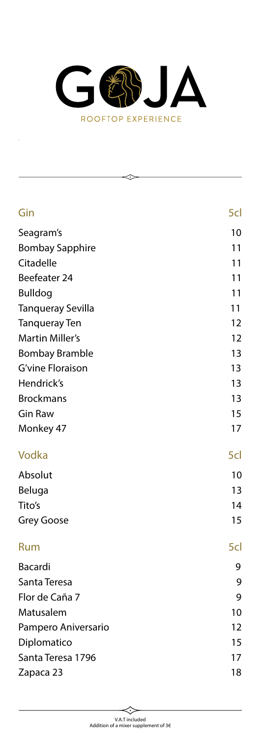

| Gin                      | 5cl |
|--------------------------|-----|
| Seagram's                | 10  |
| <b>Bombay Sapphire</b>   | 11  |
| Citadelle                | 11  |
| Beefeater 24             | 11  |
| <b>Bulldog</b>           | 11  |
| <b>Tanqueray Sevilla</b> | 11  |
| <b>Tanqueray Ten</b>     | 12  |
| <b>Martin Miller's</b>   | 12  |
| <b>Bombay Bramble</b>    | 13  |
| <b>G'vine Floraison</b>  | 13  |
| Hendrick's               | 13  |
| <b>Brockmans</b>         | 13  |
| <b>Gin Raw</b>           | 15  |
| Monkey 47                | 17  |
| Vodka                    | 5cl |
| Absolut                  | 10  |
| Beluga                   | 13  |
| Tito's                   | 14  |
| <b>Grey Goose</b>        | 15  |
| Rum                      | 5cl |
| Bacardi                  | 9   |
| Santa Teresa             | 9   |
| Flor de Caña 7           | 9   |
| Matusalem                | 10  |
| Pampero Aniversario      | 12  |
| Diplomatico              | 15  |
| Santa Teresa 1796        | 17  |
| Zapaca 23                | 18  |
|                          |     |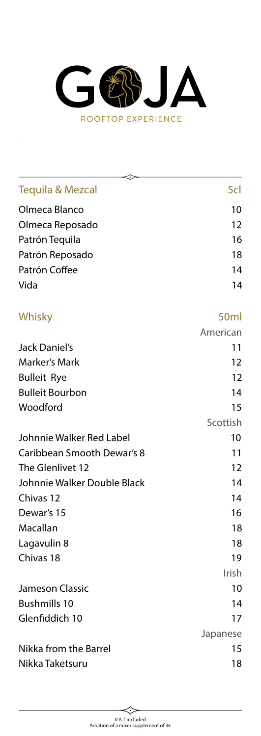

| ≎                           |                   |
|-----------------------------|-------------------|
| <b>Tequila &amp; Mezcal</b> | 5cl               |
| Olmeca Blanco               | 10                |
| Olmeca Reposado             | 12                |
| Patrón Tequila              | 16                |
| Patrón Reposado             | 18                |
| Patrón Coffee               | 14                |
| Vida                        | 14                |
| Whisky                      | 50 <sub>ml</sub>  |
|                             | American          |
| Jack Daniel's               | 11                |
| <b>Marker's Mark</b>        | 12                |
| <b>Bulleit Rye</b>          | 12                |
| <b>Bulleit Bourbon</b>      | 14                |
| Woodford                    | 15                |
|                             | Scottish          |
| Johnnie Walker Red Label    | 10                |
| Caribbean Smooth Dewar's 8  | 11                |
| The Glenlivet 12            | $12 \overline{ }$ |
| Johnnie Walker Double Black | 14                |
| Chivas 12                   | 14                |
| Dewar's 15                  | 16                |
| Macallan                    | 18                |
| Lagavulin 8                 | 18                |
| Chivas 18                   | 19                |
|                             | Irish             |
| Jameson Classic             | 10                |
| <b>Bushmills 10</b>         | 14                |
| Glenfiddich 10              | 17                |
|                             | Japanese          |
| Nikka from the Barrel       | 15                |
| Nikka Taketsuru             | 18                |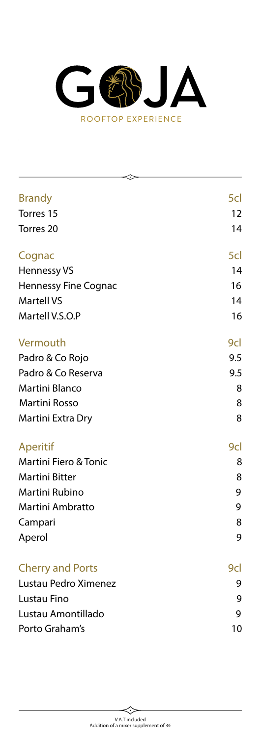

| <b>Brandy</b>               | 5cl |
|-----------------------------|-----|
| Torres 15                   | 12  |
|                             |     |
| Torres <sub>20</sub>        | 14  |
| Cognac                      | 5cl |
| Hennessy VS                 | 14  |
| <b>Hennessy Fine Cognac</b> | 16  |
| <b>Martell VS</b>           | 14  |
| Martell V.S.O.P             | 16  |
| Vermouth                    | 9cl |
| Padro & Co Rojo             | 9.5 |
| Padro & Co Reserva          | 9.5 |
| Martini Blanco              | 8   |
| <b>Martini Rosso</b>        | 8   |
| Martini Extra Dry           | 8   |
| Aperitif                    | 9cl |
| Martini Fiero & Tonic       | 8   |
| <b>Martini Bitter</b>       | 8   |
| Martini Rubino              | 9   |
| Martini Ambratto            | 9   |
| Campari                     | 8   |
| Aperol                      | 9   |
| <b>Cherry and Ports</b>     | 9cl |
| Lustau Pedro Ximenez        | 9   |
| Lustau Fino                 | 9   |
| Lustau Amontillado          | 9   |
| Porto Graham's              | 10  |
|                             |     |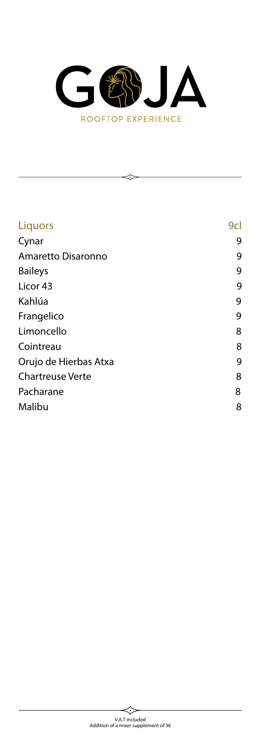

| Liquors                 | 9cl |
|-------------------------|-----|
| Cynar                   | 9   |
| Amaretto Disaronno      | 9   |
| <b>Baileys</b>          | 9   |
| Licor <sub>43</sub>     | 9   |
| Kahlúa                  | 9   |
| Frangelico              | 9   |
| Limoncello              | 8   |
| Cointreau               | 8   |
| Orujo de Hierbas Atxa   | 9   |
| <b>Chartreuse Verte</b> | 8   |
| Pacharane               | 8   |
| Malibu                  | 8   |
|                         |     |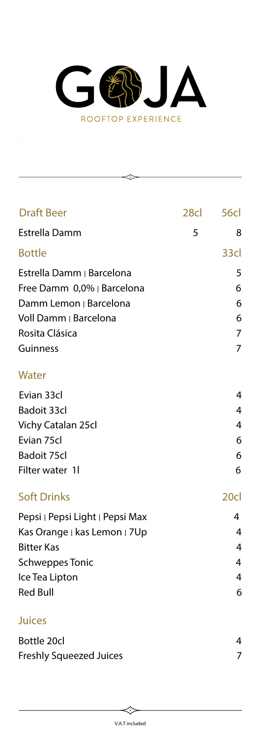

◇

| <b>Draft Beer</b>                                                                                                                                   | 28cl | <b>56cl</b>                |
|-----------------------------------------------------------------------------------------------------------------------------------------------------|------|----------------------------|
| <b>Estrella Damm</b>                                                                                                                                | 5    | 8                          |
| <b>Bottle</b>                                                                                                                                       |      | 33cl                       |
| Estrella Damm   Barcelona<br>Free Damm 0,0%   Barcelona<br>Damm Lemon   Barcelona<br>Voll Damm   Barcelona                                          |      | 5<br>6<br>6<br>6           |
| Rosita Clásica<br>Guinness                                                                                                                          |      | 7<br>7                     |
| Water                                                                                                                                               |      |                            |
| Evian 33cl<br><b>Badoit 33cl</b><br>Vichy Catalan 25cl<br>Evian 75cl<br><b>Badoit 75cl</b><br>Filter water 1l                                       |      | 4<br>4<br>4<br>6<br>6<br>6 |
| <b>Soft Drinks</b>                                                                                                                                  |      | 20cl                       |
| Pepsi   Pepsi Light   Pepsi Max<br>Kas Orange   kas Lemon   7Up<br><b>Bitter Kas</b><br><b>Schweppes Tonic</b><br>Ice Tea Lipton<br><b>Red Bull</b> |      | 4<br>4<br>4<br>4<br>4<br>6 |
| <b>Juices</b>                                                                                                                                       |      |                            |
| Bottle 20cl                                                                                                                                         |      | 4                          |

| Bottle 20CL                    |  |
|--------------------------------|--|
| <b>Freshly Squeezed Juices</b> |  |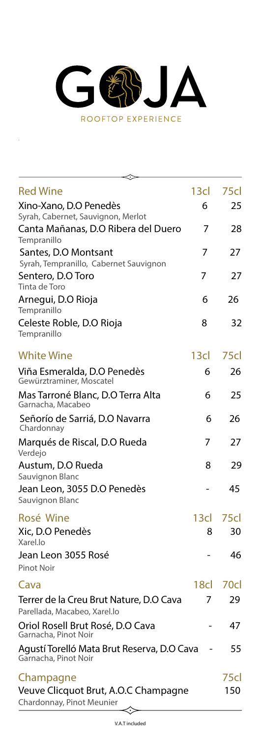

| <b>Red Wine</b>                                                         | 13cl             | 75cl |
|-------------------------------------------------------------------------|------------------|------|
| Xino-Xano, D.O Penedès                                                  | 6                | 25   |
| Syrah, Cabernet, Sauvignon, Merlot                                      |                  |      |
| Canta Mañanas, D.O Ribera del Duero<br>Tempranillo                      | 7                | 28   |
| Santes, D.O Montsant<br>Syrah, Tempranillo, Cabernet Sauvignon          | 7                | 27   |
| Sentero, D.O Toro                                                       | 7                | 27   |
| Tinta de Toro                                                           |                  |      |
| Arnegui, D.O Rioja<br>Tempranillo                                       | 6                | 26   |
| Celeste Roble, D.O Rioja<br>Tempranillo                                 | 8                | 32   |
| <b>White Wine</b>                                                       | 13cl             | 75cl |
| Viña Esmeralda, D.O Penedès<br>Gewürztraminer, Moscatel                 | 6                | 26   |
| Mas Tarroné Blanc, D.O Terra Alta<br>Garnacha, Macabeo                  | 6                | 25   |
| Señorío de Sarriá, D.O Navarra<br>Chardonnay                            | 6                | 26   |
| Marqués de Riscal, D.O Rueda<br>Verdejo                                 | 7                | 27   |
| Austum, D.O Rueda<br>Sauvignon Blanc                                    | 8                | 29   |
| Jean Leon, 3055 D.O Penedès<br>Sauvignon Blanc                          |                  | 45   |
| Rosé Wine                                                               | 13 <sub>cl</sub> | 75cl |
| Xic, D.O Penedès<br>Xarel.lo                                            | 8                | 30   |
| Jean Leon 3055 Rosé<br><b>Pinot Noir</b>                                |                  | 46   |
| Cava                                                                    | 18cl -           | 70cl |
| Terrer de la Creu Brut Nature, D.O Cava<br>Parellada, Macabeo, Xarel.lo | 7                | 29   |
| Oriol Rosell Brut Rosé, D.O Cava<br>Garnacha, Pinot Noir                |                  | 47   |
| Agustí Torelló Mata Brut Reserva, D.O Cava<br>Garnacha, Pinot Noir      |                  | 55   |
| Champagne                                                               |                  | 75cl |
| Veuve Clicquot Brut, A.O.C Champagne<br>Chardonnay, Pinot Meunier       |                  | 150  |